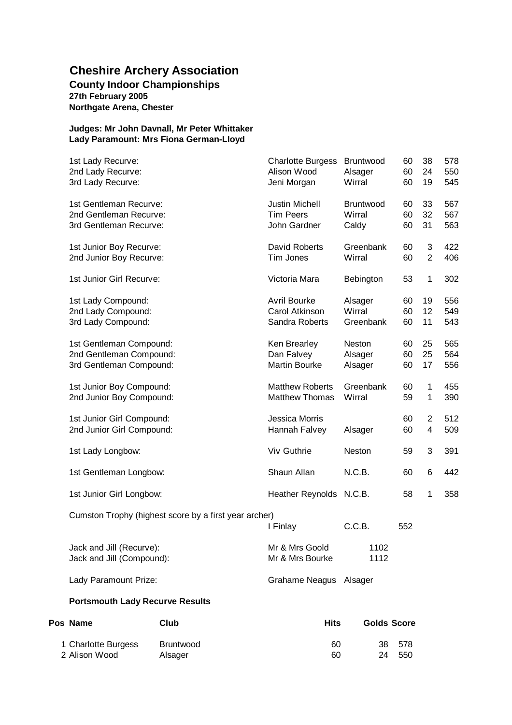### **Cheshire Archery Association County Indoor Championships 27th February 2005 Northgate Arena, Chester**

### **Judges: Mr John Davnall, Mr Peter Whittaker Lady Paramount: Mrs Fiona German-Lloyd**

| Pos Name<br>Club                                                              | <b>Hits</b>                                             | <b>Golds Score</b>             |                |                                  |                   |
|-------------------------------------------------------------------------------|---------------------------------------------------------|--------------------------------|----------------|----------------------------------|-------------------|
| <b>Portsmouth Lady Recurve Results</b>                                        |                                                         |                                |                |                                  |                   |
| Lady Paramount Prize:                                                         | Grahame Neagus Alsager                                  |                                |                |                                  |                   |
| Jack and Jill (Recurve):<br>Jack and Jill (Compound):                         | Mr & Mrs Goold<br>Mr & Mrs Bourke                       | 1102<br>1112                   |                |                                  |                   |
| Cumston Trophy (highest score by a first year archer)                         | I Finlay                                                | C.C.B.                         | 552            |                                  |                   |
| 1st Junior Girl Longbow:                                                      | Heather Reynolds N.C.B.                                 |                                | 58             | 1                                | 358               |
| 1st Gentleman Longbow:                                                        | Shaun Allan                                             | N.C.B.                         | 60             | 6                                | 442               |
| 1st Lady Longbow:                                                             | Viv Guthrie                                             | <b>Neston</b>                  | 59             | 3                                | 391               |
| 1st Junior Girl Compound:<br>2nd Junior Girl Compound:                        | Jessica Morris<br>Hannah Falvey                         | Alsager                        | 60<br>60       | $\overline{2}$<br>$\overline{4}$ | 512<br>509        |
| 1st Junior Boy Compound:<br>2nd Junior Boy Compound:                          | <b>Matthew Roberts</b><br><b>Matthew Thomas</b>         | Greenbank<br>Wirral            | 60<br>59       | $\mathbf{1}$<br>$\mathbf 1$      | 455<br>390        |
| 1st Gentleman Compound:<br>2nd Gentleman Compound:<br>3rd Gentleman Compound: | Ken Brearley<br>Dan Falvey<br>Martin Bourke             | Neston<br>Alsager<br>Alsager   | 60<br>60<br>60 | 25<br>25<br>17                   | 565<br>564<br>556 |
|                                                                               |                                                         |                                |                |                                  |                   |
| 1st Lady Compound:<br>2nd Lady Compound:<br>3rd Lady Compound:                | <b>Avril Bourke</b><br>Carol Atkinson<br>Sandra Roberts | Alsager<br>Wirral<br>Greenbank | 60<br>60<br>60 | 19<br>12<br>11                   | 556<br>549<br>543 |
| 1st Junior Girl Recurve:                                                      | Victoria Mara                                           | Bebington                      | 53             | 1                                | 302               |
| 1st Junior Boy Recurve:<br>2nd Junior Boy Recurve:                            | David Roberts<br>Tim Jones                              | Greenbank<br>Wirral            | 60<br>60       | 3<br>$\overline{2}$              | 422<br>406        |
| 2nd Gentleman Recurve:<br>3rd Gentleman Recurve:                              | <b>Tim Peers</b><br>John Gardner                        | Wirral<br>Caldy                | 60<br>60       | 32<br>31                         | 567<br>563        |
| 1st Gentleman Recurve:                                                        | <b>Justin Michell</b>                                   | Bruntwood                      | 60             | 33                               | 567               |
| 2nd Lady Recurve:<br>3rd Lady Recurve:                                        | Alison Wood<br>Jeni Morgan                              | Alsager<br>Wirral              | 60<br>60       | 24<br>19                         | 550<br>545        |
| 1st Lady Recurve:                                                             | <b>Charlotte Burgess</b>                                | Bruntwood                      | 60             | 38                               | 578               |

1 Charlotte Burgess Bruntwood 60 38 578 2 Alison Wood and Alsager 1980 and 1990 and 1990 and 1990 and 1990 and 1990 and 1990 and 1990 and 1990 and 19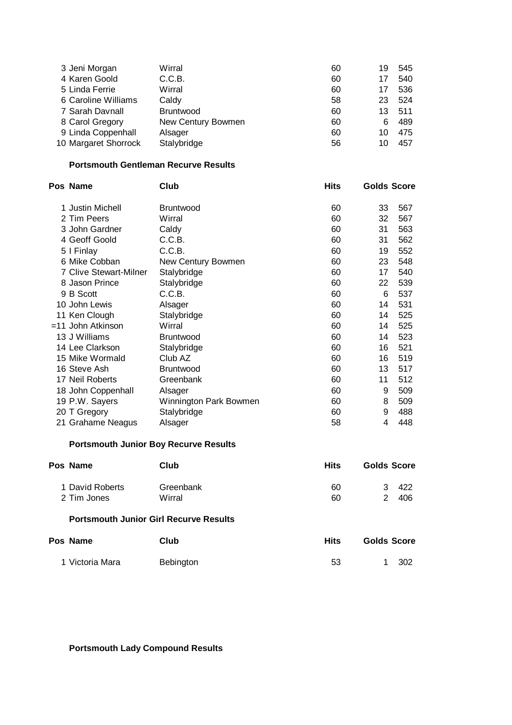| 3 Jeni Morgan        | Wirral             | 60 | 19 | 545 |
|----------------------|--------------------|----|----|-----|
| 4 Karen Goold        | C.C.B.             | 60 | 17 | 540 |
| 5 Linda Ferrie       | Wirral             | 60 | 17 | 536 |
| 6 Caroline Williams  | Caldy              | 58 | 23 | 524 |
| 7 Sarah Davnall      | <b>Bruntwood</b>   | 60 | 13 | 511 |
| 8 Carol Gregory      | New Century Bowmen | 60 | 6  | 489 |
| 9 Linda Coppenhall   | Alsager            | 60 | 10 | 475 |
| 10 Margaret Shorrock | Stalybridge        | 56 | 10 | 457 |

### **Portsmouth Gentleman Recurve Results**

| Pos Name               | Club                   | Hits | <b>Golds Score</b> |     |
|------------------------|------------------------|------|--------------------|-----|
| 1 Justin Michell       | <b>Bruntwood</b>       | 60   | 33                 | 567 |
| 2 Tim Peers            | Wirral                 | 60   | 32                 | 567 |
| 3 John Gardner         | Caldy                  | 60   | 31                 | 563 |
| 4 Geoff Goold          | C.C.B.                 | 60   | 31                 | 562 |
| 5   Finlay             | C.C.B.                 | 60   | 19                 | 552 |
| 6 Mike Cobban          | New Century Bowmen     | 60   | 23                 | 548 |
| 7 Clive Stewart-Milner | Stalybridge            | 60   | 17                 | 540 |
| 8 Jason Prince         | Stalybridge            | 60   | 22                 | 539 |
| 9 B Scott              | C.C.B.                 | 60   | 6                  | 537 |
| 10 John Lewis          | Alsager                | 60   | 14                 | 531 |
| 11 Ken Clough          | Stalybridge            | 60   | 14                 | 525 |
| $=$ 11 John Atkinson   | Wirral                 | 60   | 14                 | 525 |
| 13 J Williams          | <b>Bruntwood</b>       | 60   | 14                 | 523 |
| 14 Lee Clarkson        | Stalybridge            | 60   | 16                 | 521 |
| 15 Mike Wormald        | Club AZ                | 60   | 16                 | 519 |
| 16 Steve Ash           | <b>Bruntwood</b>       | 60   | 13                 | 517 |
| 17 Neil Roberts        | Greenbank              | 60   | 11                 | 512 |
| 18 John Coppenhall     | Alsager                | 60   | 9                  | 509 |
| 19 P.W. Sayers         | Winnington Park Bowmen | 60   | 8                  | 509 |
| 20 T Gregory           | Stalybridge            | 60   | 9                  | 488 |
| 21 Grahame Neagus      | Alsager                | 58   | 4                  | 448 |

# **Portsmouth Junior Boy Recurve Results**

| Club      | <b>Hits</b> | <b>Golds Score</b> |
|-----------|-------------|--------------------|
| Greenbank | 60          | -422<br>વ          |
| Wirral    | 60          | -406               |
|           |             |                    |

### **Portsmouth Junior Girl Recurve Results**

| Pos Name        | Club      | Hits | <b>Golds Score</b> |
|-----------------|-----------|------|--------------------|
| 1 Victoria Mara | Bebington | -53  | 1 302              |

# **Portsmouth Lady Compound Results**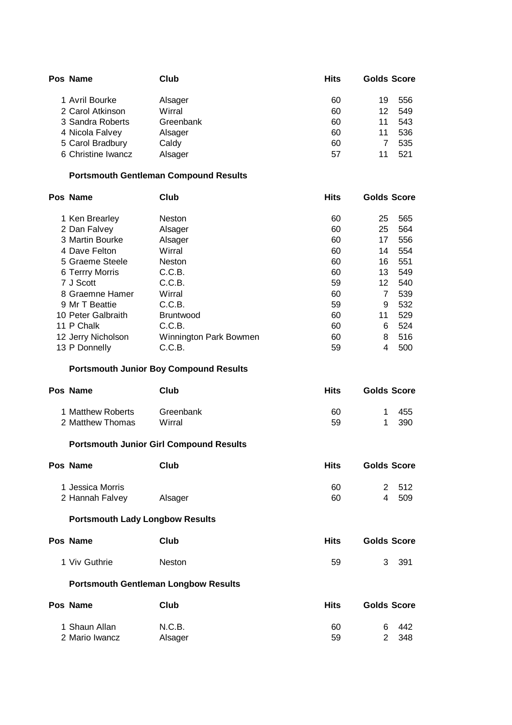| Pos Name           | Club      | <b>Hits</b> | <b>Golds Score</b> |     |
|--------------------|-----------|-------------|--------------------|-----|
| 1 Avril Bourke     | Alsager   | 60          | 19                 | 556 |
| 2 Carol Atkinson   | Wirral    | 60          | 12                 | 549 |
| 3 Sandra Roberts   | Greenbank | 60          | 11                 | 543 |
| 4 Nicola Falvey    | Alsager   | 60          | 11                 | 536 |
| 5 Carol Bradbury   | Caldy     | 60          |                    | 535 |
| 6 Christine Iwancz | Alsager   | 57          |                    | 521 |

### **Portsmouth Gentleman Compound Results**

| Pos Name           | Club                   | <b>Hits</b> | <b>Golds Score</b> |     |
|--------------------|------------------------|-------------|--------------------|-----|
| 1 Ken Brearley     | <b>Neston</b>          | 60          | 25                 | 565 |
| 2 Dan Falvey       | Alsager                | 60          | 25                 | 564 |
| 3 Martin Bourke    | Alsager                | 60          | 17                 | 556 |
| 4 Dave Felton      | Wirral                 | 60          | 14                 | 554 |
| 5 Graeme Steele    | <b>Neston</b>          | 60          | 16                 | 551 |
| 6 Terrry Morris    | C.C.B.                 | 60          | 13                 | 549 |
| 7 J Scott          | C.C.B.                 | 59          | 12                 | 540 |
| 8 Graemne Hamer    | Wirral                 | 60          | 7                  | 539 |
| 9 Mr T Beattie     | C.C.B.                 | 59          | 9                  | 532 |
| 10 Peter Galbraith | <b>Bruntwood</b>       | 60          | 11                 | 529 |
| 11 P Chalk         | C.C.B.                 | 60          | 6                  | 524 |
| 12 Jerry Nicholson | Winnington Park Bowmen | 60          | 8                  | 516 |
| 13 P Donnelly      | C.C.B.                 | 59          | 4                  | 500 |

#### **Portsmouth Junior Boy Compound Results**

| Pos Name          | Club      | Hits | <b>Golds Score</b> |
|-------------------|-----------|------|--------------------|
| 1 Matthew Roberts | Greenbank | 60   | 455                |
| 2 Matthew Thomas  | Wirral    | 59   | 390                |

### **Portsmouth Junior Girl Compound Results**

| Club    | <b>Hits</b> | <b>Golds Score</b> |
|---------|-------------|--------------------|
|         | 60          | 2 512              |
| Alsager | 60          | 509                |
|         |             |                    |

# **Portsmouth Lady Longbow Results**

| Pos Name      | Club   | <b>Hits</b> | <b>Golds Score</b> |
|---------------|--------|-------------|--------------------|
| 1 Viv Guthrie | Neston | -59         | 3 391              |

#### **Portsmouth Gentleman Longbow Results**

| Pos Name       | Club    | Hits | <b>Golds Score</b> |
|----------------|---------|------|--------------------|
| 1 Shaun Allan  | N.C.B.  | 60   | - 442<br>а         |
| 2 Mario Iwancz | Alsager | 59   | 2 348              |